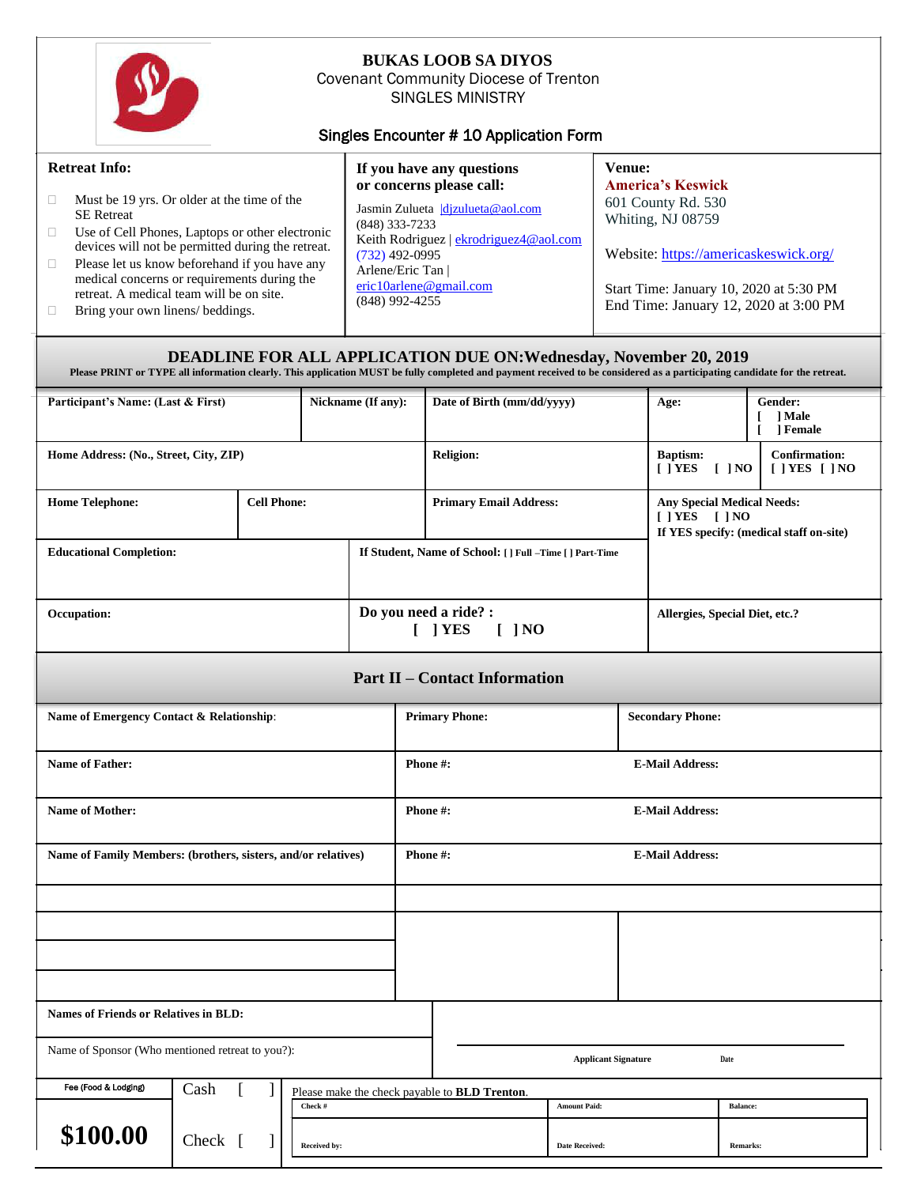

# **BUKAS LOOB SA DIYOS** Covenant Community Diocese of Trenton

SINGLES MINISTRY

# Singles Encounter # 10 Application Form

| <b>Retreat Info:</b> |                                                                                                                                                                                                                                                                          | If you have any questions<br>or concerns please call:                                                                                                                                      | Venue:<br><b>America's Keswick</b>                                               |  |  |  |
|----------------------|--------------------------------------------------------------------------------------------------------------------------------------------------------------------------------------------------------------------------------------------------------------------------|--------------------------------------------------------------------------------------------------------------------------------------------------------------------------------------------|----------------------------------------------------------------------------------|--|--|--|
| $\Box$               | Must be 19 yrs. Or older at the time of the<br><b>SE</b> Retreat<br>Use of Cell Phones, Laptops or other electronic<br>devices will not be permitted during the retreat.<br>Please let us know beforehand if you have any<br>medical concerns or requirements during the | Jasmin Zulueta   dizulueta@aol.com<br>$(848)$ 333-7233<br>Keith Rodriguez   ekrodriguez4@aol.com<br>$(732)$ 492-0995<br>Arlene/Eric Tan  <br>$eric10$ arlene@gmail.com<br>$(848)$ 992-4255 | 601 County Rd. 530<br>Whiting, NJ 08759<br>Website: https://americaskeswick.org/ |  |  |  |
|                      | retreat. A medical team will be on site.<br>Bring your own linens/ beddings.                                                                                                                                                                                             |                                                                                                                                                                                            | Start Time: January 10, 2020 at 5:30 PM<br>End Time: January 12, 2020 at 3:00 PM |  |  |  |

# **DEADLINE FOR ALL APPLICATION DUE ON:Wednesday, November 20, 2019**

**Please PRINT or TYPE all information clearly. This application MUST be fully completed and payment received to be considered as a participating candidate for the retreat.**

| Participant's Name: (Last & First)                            |  |  | Nickname (If any): |                               | Date of Birth (mm/dd/yyyy)                               |                                                                                                    | Age:                         |                                | Gender:<br>$\lceil$   Male<br>] Female |  |  |
|---------------------------------------------------------------|--|--|--------------------|-------------------------------|----------------------------------------------------------|----------------------------------------------------------------------------------------------------|------------------------------|--------------------------------|----------------------------------------|--|--|
| Home Address: (No., Street, City, ZIP)                        |  |  |                    |                               | <b>Religion:</b>                                         |                                                                                                    | <b>Baptism:</b><br>$[$   YES | $[$ ] NO                       | <b>Confirmation:</b><br>[ ] YES [ ] NO |  |  |
| <b>Cell Phone:</b><br><b>Home Telephone:</b>                  |  |  |                    | <b>Primary Email Address:</b> |                                                          | <b>Any Special Medical Needs:</b><br>$[$ ] YES $[$ ] NO<br>If YES specify: (medical staff on-site) |                              |                                |                                        |  |  |
| <b>Educational Completion:</b>                                |  |  |                    |                               | If Student, Name of School: [ ] Full -Time [ ] Part-Time |                                                                                                    |                              |                                |                                        |  |  |
| Occupation:                                                   |  |  |                    |                               | Do you need a ride? :<br>$[$ [ $]$ YES<br>[ ] NO         |                                                                                                    |                              | Allergies, Special Diet, etc.? |                                        |  |  |
| <b>Part II - Contact Information</b>                          |  |  |                    |                               |                                                          |                                                                                                    |                              |                                |                                        |  |  |
| Name of Emergency Contact & Relationship:                     |  |  |                    |                               | <b>Primary Phone:</b>                                    |                                                                                                    |                              | <b>Secondary Phone:</b>        |                                        |  |  |
| <b>Name of Father:</b>                                        |  |  |                    |                               | Phone#:<br><b>E-Mail Address:</b>                        |                                                                                                    |                              |                                |                                        |  |  |
| <b>Name of Mother:</b>                                        |  |  |                    |                               | Phone #:<br><b>E-Mail Address:</b>                       |                                                                                                    |                              |                                |                                        |  |  |
| Name of Family Members: (brothers, sisters, and/or relatives) |  |  |                    |                               | Phone#:<br><b>E-Mail Address:</b>                        |                                                                                                    |                              |                                |                                        |  |  |
|                                                               |  |  |                    |                               |                                                          |                                                                                                    |                              |                                |                                        |  |  |
|                                                               |  |  |                    |                               |                                                          |                                                                                                    |                              |                                |                                        |  |  |
|                                                               |  |  |                    |                               |                                                          |                                                                                                    |                              |                                |                                        |  |  |
| <b>Names of Friends or Relatives in BLD:</b>                  |  |  |                    |                               |                                                          |                                                                                                    |                              |                                |                                        |  |  |
| Name of Sponsor (Who mentioned retreat to you?):              |  |  |                    |                               | <b>Applicant Signature</b><br>Date                       |                                                                                                    |                              |                                |                                        |  |  |
| Fee (Food & Lodging)<br>Cash                                  |  |  |                    |                               | Please make the check payable to <b>BLD Trenton</b> .    |                                                                                                    |                              |                                |                                        |  |  |
| Check #                                                       |  |  |                    |                               | <b>Amount Paid:</b>                                      |                                                                                                    |                              | <b>Balance:</b>                |                                        |  |  |
| \$100.00<br>Check<br>Received by:                             |  |  |                    | <b>Date Received:</b>         |                                                          |                                                                                                    | <b>Remarks:</b>              |                                |                                        |  |  |

J